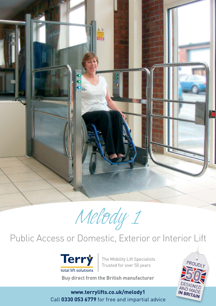

*Melody 1*

# Public Access or Domestic, Exterior or Interior Lift



The Mobility Lift Specialists Trusted for over 50 years

**Buy direct from the British manufacturer**

**www.terrylifts.co.uk/melody1** Call **0330 053 6779** for free and impartial advice